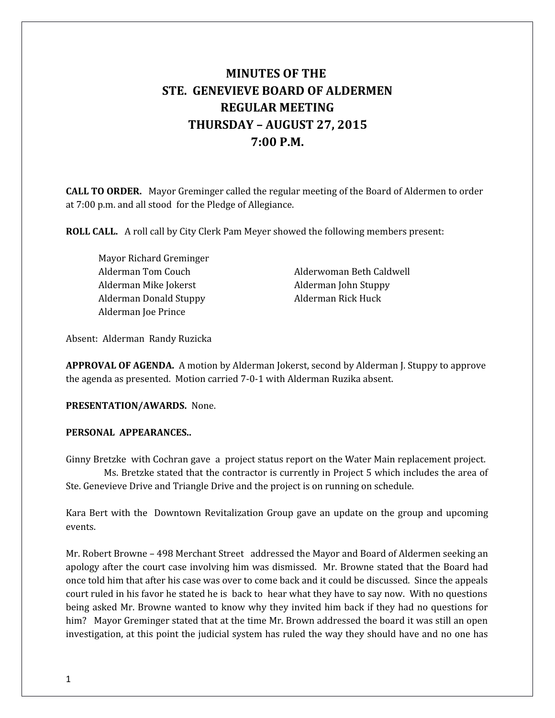# **MINUTES OF THE STE. GENEVIEVE BOARD OF ALDERMEN REGULAR MEETING THURSDAY – AUGUST 27, 2015 7:00 P.M.**

**CALL TO ORDER.** Mayor Greminger called the regular meeting of the Board of Aldermen to order at 7:00 p.m. and all stood for the Pledge of Allegiance.

**ROLL CALL.** A roll call by City Clerk Pam Meyer showed the following members present:

Mayor Richard Greminger Alderman Mike Jokerst Alderman John Stuppy Alderman Donald Stuppy Alderman Rick Huck Alderman Joe Prince

Alderman Tom Couch Alderwoman Beth Caldwell

Absent: Alderman Randy Ruzicka

**APPROVAL OF AGENDA.** A motion by Alderman Jokerst, second by Alderman J. Stuppy to approve the agenda as presented. Motion carried 7-0-1 with Alderman Ruzika absent.

**PRESENTATION/AWARDS.** None.

#### **PERSONAL APPEARANCES..**

Ginny Bretzke with Cochran gave a project status report on the Water Main replacement project. Ms. Bretzke stated that the contractor is currently in Project 5 which includes the area of Ste. Genevieve Drive and Triangle Drive and the project is on running on schedule.

Kara Bert with the Downtown Revitalization Group gave an update on the group and upcoming events.

Mr. Robert Browne – 498 Merchant Street addressed the Mayor and Board of Aldermen seeking an apology after the court case involving him was dismissed. Mr. Browne stated that the Board had once told him that after his case was over to come back and it could be discussed. Since the appeals court ruled in his favor he stated he is back to hear what they have to say now. With no questions being asked Mr. Browne wanted to know why they invited him back if they had no questions for him? Mayor Greminger stated that at the time Mr. Brown addressed the board it was still an open investigation, at this point the judicial system has ruled the way they should have and no one has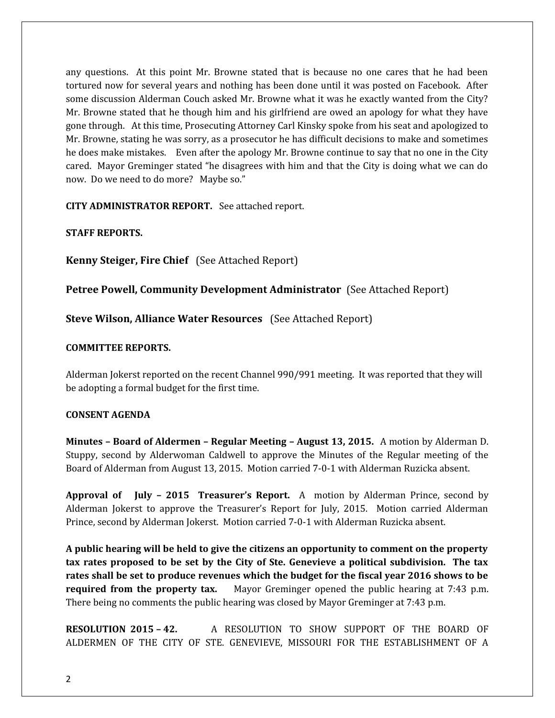any questions. At this point Mr. Browne stated that is because no one cares that he had been tortured now for several years and nothing has been done until it was posted on Facebook. After some discussion Alderman Couch asked Mr. Browne what it was he exactly wanted from the City? Mr. Browne stated that he though him and his girlfriend are owed an apology for what they have gone through. At this time, Prosecuting Attorney Carl Kinsky spoke from his seat and apologized to Mr. Browne, stating he was sorry, as a prosecutor he has difficult decisions to make and sometimes he does make mistakes. Even after the apology Mr. Browne continue to say that no one in the City cared. Mayor Greminger stated "he disagrees with him and that the City is doing what we can do now. Do we need to do more? Maybe so."

**CITY ADMINISTRATOR REPORT.** See attached report.

**STAFF REPORTS.** 

**Kenny Steiger, Fire Chief** (See Attached Report)

**Petree Powell, Community Development Administrator** (See Attached Report)

**Steve Wilson, Alliance Water Resources** (See Attached Report)

## **COMMITTEE REPORTS.**

Alderman Jokerst reported on the recent Channel 990/991 meeting. It was reported that they will be adopting a formal budget for the first time.

### **CONSENT AGENDA**

**Minutes – Board of Aldermen – Regular Meeting – August 13, 2015.** A motion by Alderman D. Stuppy, second by Alderwoman Caldwell to approve the Minutes of the Regular meeting of the Board of Alderman from August 13, 2015. Motion carried 7-0-1 with Alderman Ruzicka absent.

**Approval of July – 2015 Treasurer's Report.** A motion by Alderman Prince, second by Alderman Jokerst to approve the Treasurer's Report for July, 2015. Motion carried Alderman Prince, second by Alderman Jokerst. Motion carried 7-0-1 with Alderman Ruzicka absent.

**A public hearing will be held to give the citizens an opportunity to comment on the property tax rates proposed to be set by the City of Ste. Genevieve a political subdivision. The tax rates shall be set to produce revenues which the budget for the fiscal year 2016 shows to be required from the property tax.** Mayor Greminger opened the public hearing at 7:43 p.m. There being no comments the public hearing was closed by Mayor Greminger at 7:43 p.m.

**RESOLUTION 2015 – 42.** A RESOLUTION TO SHOW SUPPORT OF THE BOARD OF ALDERMEN OF THE CITY OF STE. GENEVIEVE, MISSOURI FOR THE ESTABLISHMENT OF A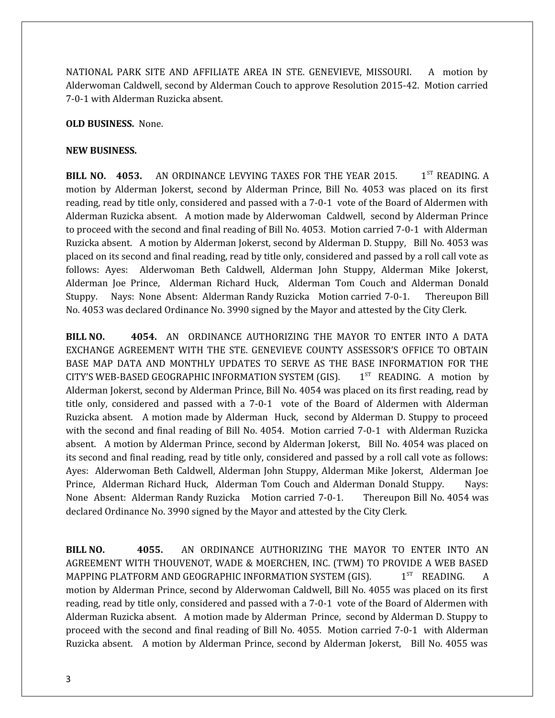NATIONAL PARK SITE AND AFFILIATE AREA IN STE. GENEVIEVE, MISSOURI. A motion by Alderwoman Caldwell, second by Alderman Couch to approve Resolution 2015-42. Motion carried 7-0-1 with Alderman Ruzicka absent.

#### **OLD BUSINESS.** None.

#### **NEW BUSINESS.**

**BILL NO. 4053.** AN ORDINANCE LEVYING TAXES FOR THE YEAR 2015. 1<sup>ST</sup> READING. A motion by Alderman Jokerst, second by Alderman Prince, Bill No. 4053 was placed on its first reading, read by title only, considered and passed with a 7-0-1 vote of the Board of Aldermen with Alderman Ruzicka absent. A motion made by Alderwoman Caldwell, second by Alderman Prince to proceed with the second and final reading of Bill No. 4053. Motion carried 7-0-1 with Alderman Ruzicka absent. A motion by Alderman Jokerst, second by Alderman D. Stuppy, Bill No. 4053 was placed on its second and final reading, read by title only, considered and passed by a roll call vote as follows: Ayes: Alderwoman Beth Caldwell, Alderman John Stuppy, Alderman Mike Jokerst, Alderman Joe Prince, Alderman Richard Huck, Alderman Tom Couch and Alderman Donald Stuppy. Nays: None Absent: Alderman Randy Ruzicka Motion carried 7-0-1. Thereupon Bill No. 4053 was declared Ordinance No. 3990 signed by the Mayor and attested by the City Clerk.

**BILL NO. 4054.** AN ORDINANCE AUTHORIZING THE MAYOR TO ENTER INTO A DATA EXCHANGE AGREEMENT WITH THE STE. GENEVIEVE COUNTY ASSESSOR'S OFFICE TO OBTAIN BASE MAP DATA AND MONTHLY UPDATES TO SERVE AS THE BASE INFORMATION FOR THE CITY'S WEB-BASED GEOGRAPHIC INFORMATION SYSTEM (GIS). 1 1<sup>ST</sup> READING. A motion by Alderman Jokerst, second by Alderman Prince, Bill No. 4054 was placed on its first reading, read by title only, considered and passed with a 7-0-1 vote of the Board of Aldermen with Alderman Ruzicka absent. A motion made by Alderman Huck, second by Alderman D. Stuppy to proceed with the second and final reading of Bill No. 4054. Motion carried 7-0-1 with Alderman Ruzicka absent. A motion by Alderman Prince, second by Alderman Jokerst, Bill No. 4054 was placed on its second and final reading, read by title only, considered and passed by a roll call vote as follows: Ayes: Alderwoman Beth Caldwell, Alderman John Stuppy, Alderman Mike Jokerst, Alderman Joe Prince, Alderman Richard Huck, Alderman Tom Couch and Alderman Donald Stuppy. Nays: None Absent: Alderman Randy Ruzicka Motion carried 7-0-1. Thereupon Bill No. 4054 was declared Ordinance No. 3990 signed by the Mayor and attested by the City Clerk.

**BILL NO. 4055.** AN ORDINANCE AUTHORIZING THE MAYOR TO ENTER INTO AN AGREEMENT WITH THOUVENOT, WADE & MOERCHEN, INC. (TWM) TO PROVIDE A WEB BASED MAPPING PLATFORM AND GEOGRAPHIC INFORMATION SYSTEM (GIS).  $1^{ST}$  READING. A motion by Alderman Prince, second by Alderwoman Caldwell, Bill No. 4055 was placed on its first reading, read by title only, considered and passed with a 7-0-1 vote of the Board of Aldermen with Alderman Ruzicka absent. A motion made by Alderman Prince, second by Alderman D. Stuppy to proceed with the second and final reading of Bill No. 4055. Motion carried 7-0-1 with Alderman Ruzicka absent. A motion by Alderman Prince, second by Alderman Jokerst, Bill No. 4055 was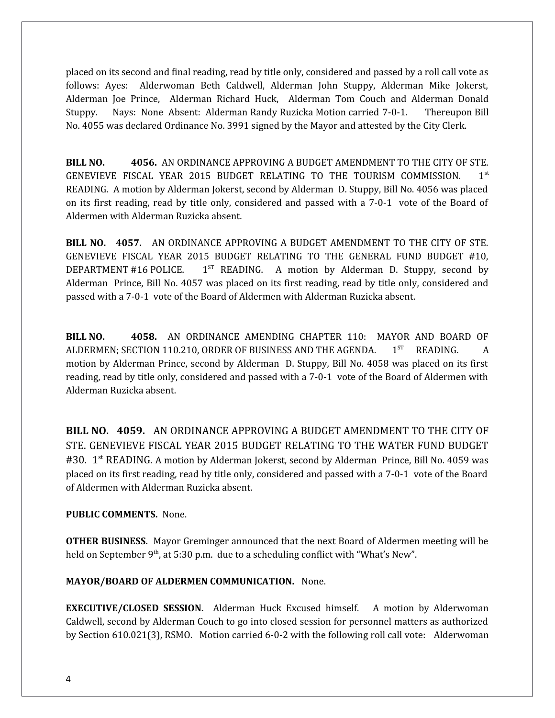placed on its second and final reading, read by title only, considered and passed by a roll call vote as follows: Ayes: Alderwoman Beth Caldwell, Alderman John Stuppy, Alderman Mike Jokerst, Alderman Joe Prince, Alderman Richard Huck, Alderman Tom Couch and Alderman Donald Stuppy. Nays: None Absent: Alderman Randy Ruzicka Motion carried 7-0-1. Thereupon Bill No. 4055 was declared Ordinance No. 3991 signed by the Mayor and attested by the City Clerk.

**BILL NO. 4056.** AN ORDINANCE APPROVING A BUDGET AMENDMENT TO THE CITY OF STE. GENEVIEVE FISCAL YEAR 2015 BUDGET RELATING TO THE TOURISM COMMISSION. 1st READING. A motion by Alderman Jokerst, second by Alderman D. Stuppy, Bill No. 4056 was placed on its first reading, read by title only, considered and passed with a 7-0-1 vote of the Board of Aldermen with Alderman Ruzicka absent.

**BILL NO. 4057.** AN ORDINANCE APPROVING A BUDGET AMENDMENT TO THE CITY OF STE. GENEVIEVE FISCAL YEAR 2015 BUDGET RELATING TO THE GENERAL FUND BUDGET #10, DEPARTMENT #16 POLICE.  $1^{ST}$  READING. A motion by Alderman D. Stuppy, second by Alderman Prince, Bill No. 4057 was placed on its first reading, read by title only, considered and passed with a 7-0-1 vote of the Board of Aldermen with Alderman Ruzicka absent.

**BILL NO. 4058.** AN ORDINANCE AMENDING CHAPTER 110: MAYOR AND BOARD OF ALDERMEN: SECTION 110.210, ORDER OF BUSINESS AND THE AGENDA.  $1<sup>ST</sup>$  READING. A motion by Alderman Prince, second by Alderman D. Stuppy, Bill No. 4058 was placed on its first reading, read by title only, considered and passed with a 7-0-1 vote of the Board of Aldermen with Alderman Ruzicka absent.

**BILL NO. 4059.** AN ORDINANCE APPROVING A BUDGET AMENDMENT TO THE CITY OF STE. GENEVIEVE FISCAL YEAR 2015 BUDGET RELATING TO THE WATER FUND BUDGET #30. 1<sup>st</sup> READING. A motion by Alderman Jokerst, second by Alderman Prince, Bill No. 4059 was placed on its first reading, read by title only, considered and passed with a 7-0-1 vote of the Board of Aldermen with Alderman Ruzicka absent.

## **PUBLIC COMMENTS.** None.

**OTHER BUSINESS.** Mayor Greminger announced that the next Board of Aldermen meeting will be held on September  $9<sup>th</sup>$ , at 5:30 p.m. due to a scheduling conflict with "What's New".

## **MAYOR/BOARD OF ALDERMEN COMMUNICATION.** None.

**EXECUTIVE/CLOSED SESSION.** Alderman Huck Excused himself.A motion by Alderwoman Caldwell, second by Alderman Couch to go into closed session for personnel matters as authorized by Section 610.021(3), RSMO. Motion carried 6-0-2 with the following roll call vote: Alderwoman